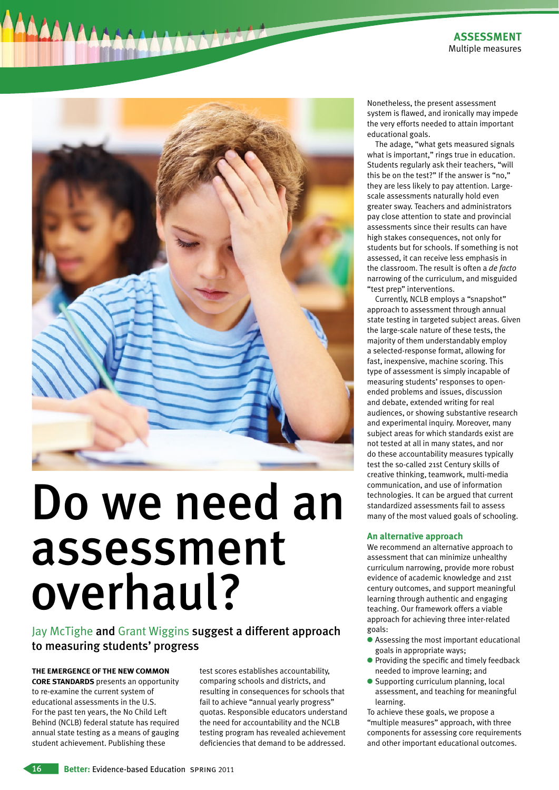

# Do we need an assessment overhaul?

Jay McTighe and Grant Wiggins suggest a different approach to measuring students' progress

#### **THE EMERGENCE OF THE NEW COMMON**

**CORE STANDARDS** presents an opportunity to re-examine the current system of educational assessments in the U.S. For the past ten years, the No Child Left Behind (NCLB) federal statute has required annual state testing as a means of gauging student achievement. Publishing these

test scores establishes accountability, comparing schools and districts, and resulting in consequences for schools that fail to achieve "annual yearly progress" quotas. Responsible educators understand the need for accountability and the NCLB testing program has revealed achievement deficiencies that demand to be addressed.

Nonetheless, the present assessment system is flawed, and ironically may impede the very efforts needed to attain important educational goals.

The adage, "what gets measured signals what is important," rings true in education. Students regularly ask their teachers, "will this be on the test?" If the answer is "no," they are less likely to pay attention. Largescale assessments naturally hold even greater sway. Teachers and administrators pay close attention to state and provincial assessments since their results can have high stakes consequences, not only for students but for schools. If something is not assessed, it can receive less emphasis in the classroom. The result is often a *de facto* narrowing of the curriculum, and misguided "test prep" interventions.

Currently, NCLB employs a "snapshot" approach to assessment through annual state testing in targeted subject areas. Given the large-scale nature of these tests, the majority of them understandably employ a selected-response format, allowing for fast, inexpensive, machine scoring. This type of assessment is simply incapable of measuring students' responses to openended problems and issues, discussion and debate, extended writing for real audiences, or showing substantive research and experimental inquiry. Moreover, many subject areas for which standards exist are not tested at all in many states, and nor do these accountability measures typically test the so-called 21st Century skills of creative thinking, teamwork, multi-media communication, and use of information technologies. It can be argued that current standardized assessments fail to assess many of the most valued goals of schooling.

#### **An alternative approach**

We recommend an alternative approach to assessment that can minimize unhealthy curriculum narrowing, provide more robust evidence of academic knowledge and 21st century outcomes, and support meaningful learning through authentic and engaging teaching. Our framework offers a viable approach for achieving three inter-related goals:

- l Assessing the most important educational goals in appropriate ways;
- $\bullet$  Providing the specific and timely feedback needed to improve learning; and
- **C** Supporting curriculum planning, local assessment, and teaching for meaningful learning.

To achieve these goals, we propose a "multiple measures" approach, with three components for assessing core requirements and other important educational outcomes.